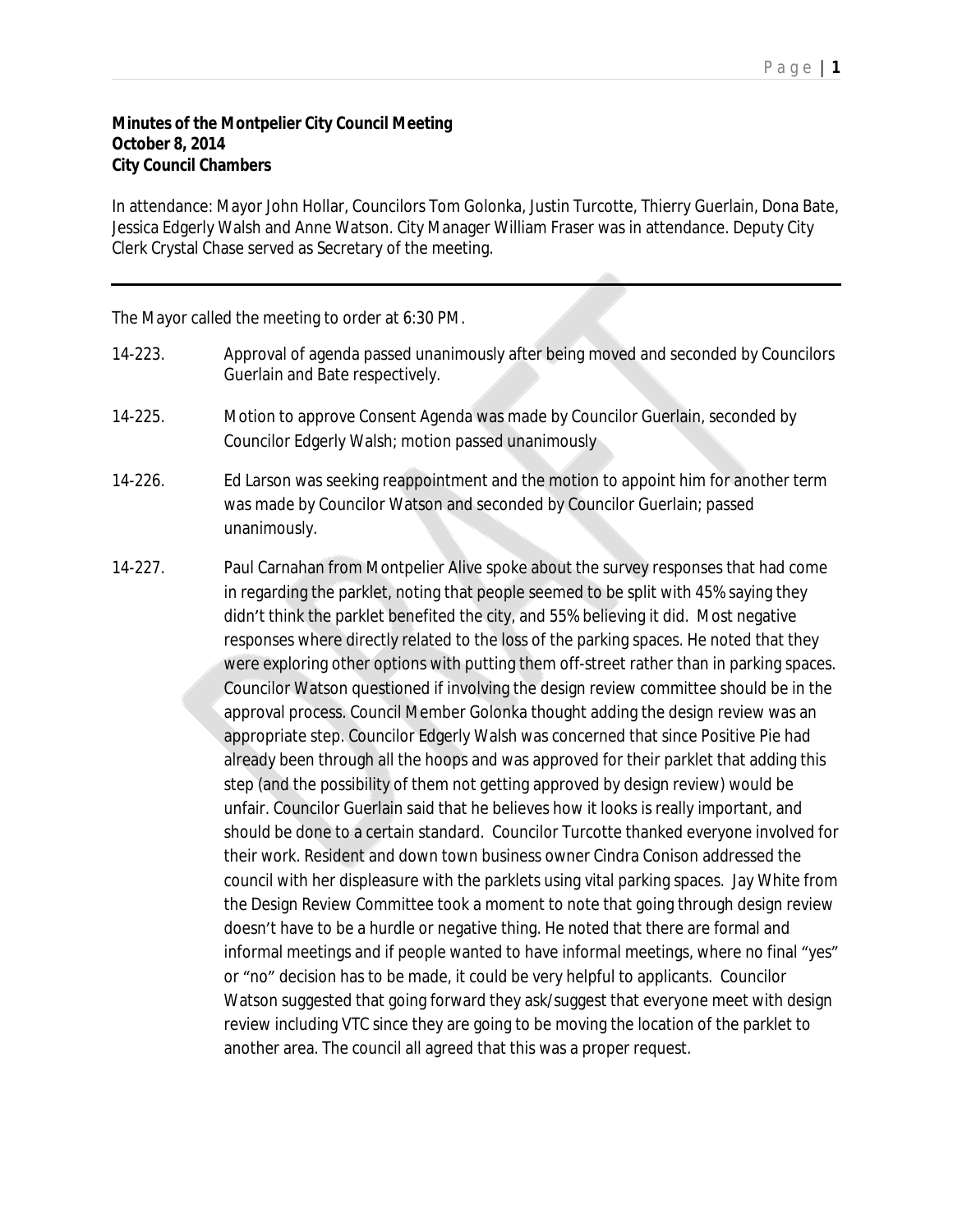## **Minutes of the Montpelier City Council Meeting October 8, 2014 City Council Chambers**

In attendance: Mayor John Hollar, Councilors Tom Golonka, Justin Turcotte, Thierry Guerlain, Dona Bate, Jessica Edgerly Walsh and Anne Watson. City Manager William Fraser was in attendance. Deputy City Clerk Crystal Chase served as Secretary of the meeting.

The Mayor called the meeting to order at 6:30 PM.

- 14-223. Approval of agenda passed unanimously after being moved and seconded by Councilors Guerlain and Bate respectively.
- 14-225. Motion to approve Consent Agenda was made by Councilor Guerlain, seconded by Councilor Edgerly Walsh; motion passed unanimously
- 14-226. Ed Larson was seeking reappointment and the motion to appoint him for another term was made by Councilor Watson and seconded by Councilor Guerlain; passed unanimously.
- 14-227. Paul Carnahan from Montpelier Alive spoke about the survey responses that had come in regarding the parklet, noting that people seemed to be split with 45% saying they didn't think the parklet benefited the city, and 55% believing it did. Most negative responses where directly related to the loss of the parking spaces. He noted that they were exploring other options with putting them off-street rather than in parking spaces. Councilor Watson questioned if involving the design review committee should be in the approval process. Council Member Golonka thought adding the design review was an appropriate step. Councilor Edgerly Walsh was concerned that since Positive Pie had already been through all the hoops and was approved for their parklet that adding this step (and the possibility of them not getting approved by design review) would be unfair. Councilor Guerlain said that he believes how it looks is really important, and should be done to a certain standard. Councilor Turcotte thanked everyone involved for their work. Resident and down town business owner Cindra Conison addressed the council with her displeasure with the parklets using vital parking spaces. Jay White from the Design Review Committee took a moment to note that going through design review doesn't have to be a hurdle or negative thing. He noted that there are formal and informal meetings and if people wanted to have informal meetings, where no final "yes" or "no" decision has to be made, it could be very helpful to applicants. Councilor Watson suggested that going forward they ask/suggest that everyone meet with design review including VTC since they are going to be moving the location of the parklet to another area. The council all agreed that this was a proper request.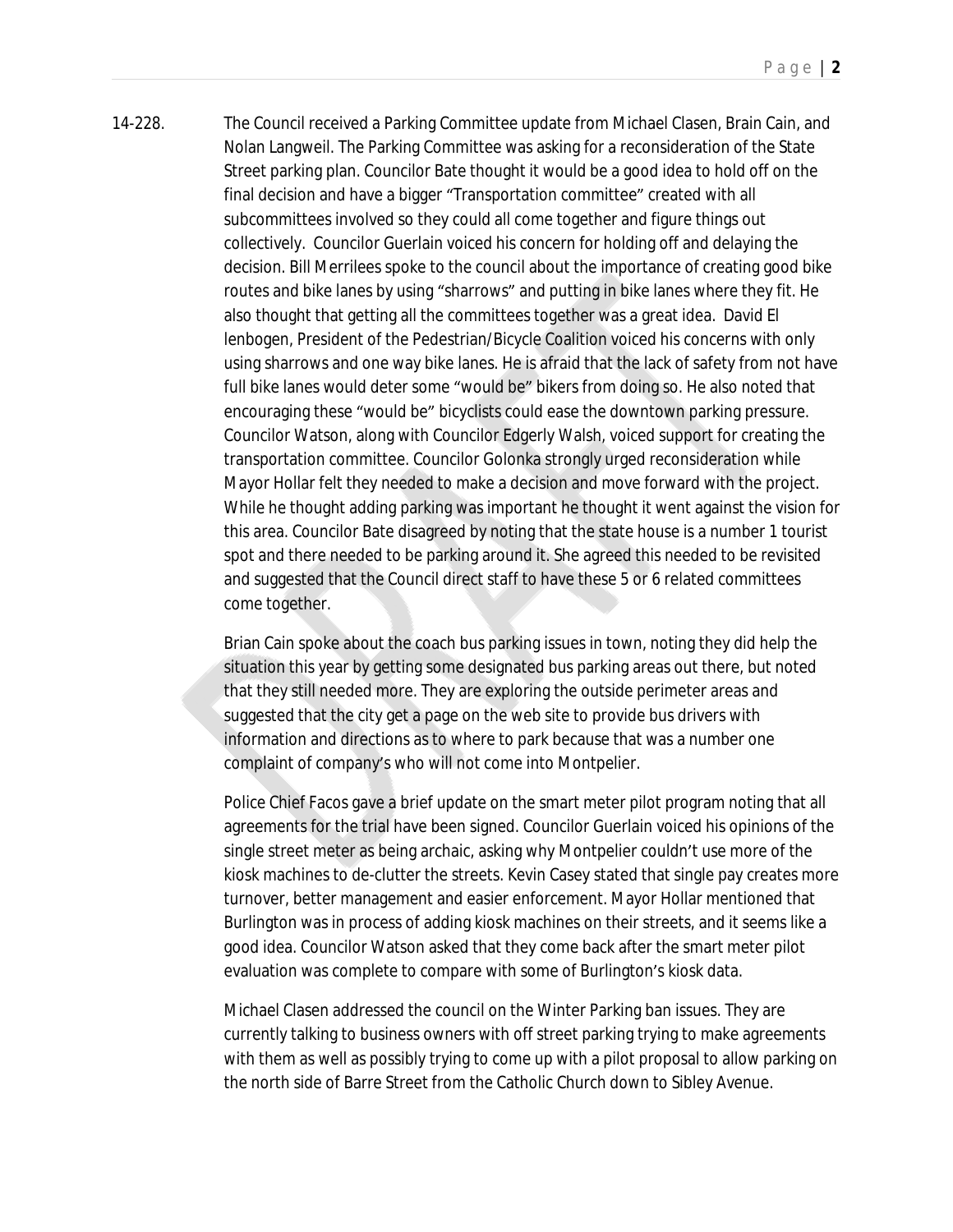14-228. The Council received a Parking Committee update from Michael Clasen, Brain Cain, and Nolan Langweil. The Parking Committee was asking for a reconsideration of the State Street parking plan. Councilor Bate thought it would be a good idea to hold off on the final decision and have a bigger "Transportation committee" created with all subcommittees involved so they could all come together and figure things out collectively. Councilor Guerlain voiced his concern for holding off and delaying the decision. Bill Merrilees spoke to the council about the importance of creating good bike routes and bike lanes by using "sharrows" and putting in bike lanes where they fit. He also thought that getting all the committees together was a great idea. David El lenbogen, President of the Pedestrian/Bicycle Coalition voiced his concerns with only using sharrows and one way bike lanes. He is afraid that the lack of safety from not have full bike lanes would deter some "would be" bikers from doing so. He also noted that encouraging these "would be" bicyclists could ease the downtown parking pressure. Councilor Watson, along with Councilor Edgerly Walsh, voiced support for creating the transportation committee. Councilor Golonka strongly urged reconsideration while Mayor Hollar felt they needed to make a decision and move forward with the project. While he thought adding parking was important he thought it went against the vision for this area. Councilor Bate disagreed by noting that the state house is a number 1 tourist spot and there needed to be parking around it. She agreed this needed to be revisited and suggested that the Council direct staff to have these 5 or 6 related committees come together.

> Brian Cain spoke about the coach bus parking issues in town, noting they did help the situation this year by getting some designated bus parking areas out there, but noted that they still needed more. They are exploring the outside perimeter areas and suggested that the city get a page on the web site to provide bus drivers with information and directions as to where to park because that was a number one complaint of company's who will not come into Montpelier.

Police Chief Facos gave a brief update on the smart meter pilot program noting that all agreements for the trial have been signed. Councilor Guerlain voiced his opinions of the single street meter as being archaic, asking why Montpelier couldn't use more of the kiosk machines to de-clutter the streets. Kevin Casey stated that single pay creates more turnover, better management and easier enforcement. Mayor Hollar mentioned that Burlington was in process of adding kiosk machines on their streets, and it seems like a good idea. Councilor Watson asked that they come back after the smart meter pilot evaluation was complete to compare with some of Burlington's kiosk data.

Michael Clasen addressed the council on the Winter Parking ban issues. They are currently talking to business owners with off street parking trying to make agreements with them as well as possibly trying to come up with a pilot proposal to allow parking on the north side of Barre Street from the Catholic Church down to Sibley Avenue.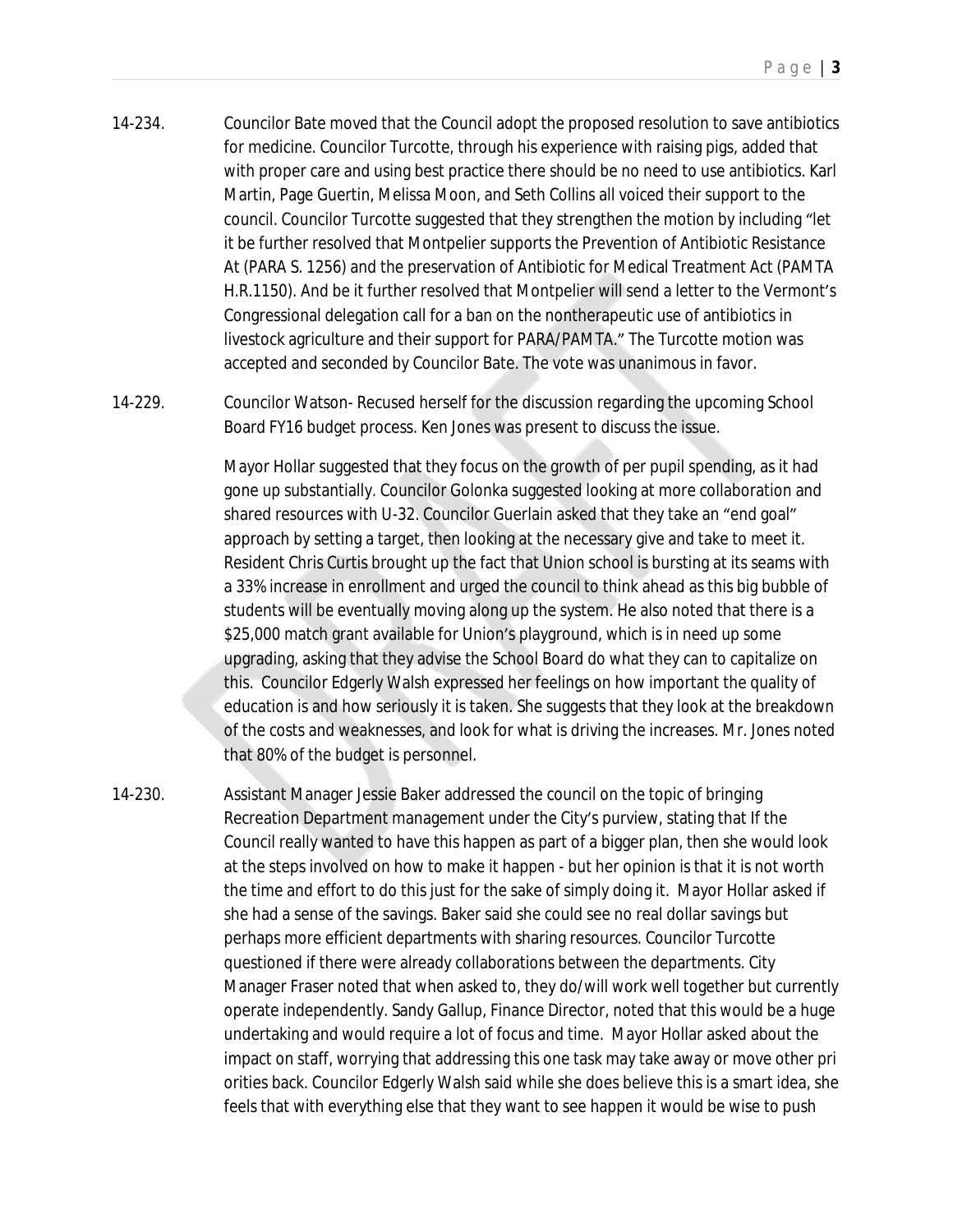14-234. Councilor Bate moved that the Council adopt the proposed resolution to save antibiotics for medicine. Councilor Turcotte, through his experience with raising pigs, added that with proper care and using best practice there should be no need to use antibiotics. Karl Martin, Page Guertin, Melissa Moon, and Seth Collins all voiced their support to the council. Councilor Turcotte suggested that they strengthen the motion by including "let it be further resolved that Montpelier supports the Prevention of Antibiotic Resistance At (PARA S. 1256) and the preservation of Antibiotic for Medical Treatment Act (PAMTA H.R.1150). And be it further resolved that Montpelier will send a letter to the Vermont's Congressional delegation call for a ban on the nontherapeutic use of antibiotics in livestock agriculture and their support for PARA/PAMTA." The Turcotte motion was accepted and seconded by Councilor Bate. The vote was unanimous in favor.

14-229. Councilor Watson- Recused herself for the discussion regarding the upcoming School Board FY16 budget process. Ken Jones was present to discuss the issue.

> Mayor Hollar suggested that they focus on the growth of per pupil spending, as it had gone up substantially. Councilor Golonka suggested looking at more collaboration and shared resources with U-32. Councilor Guerlain asked that they take an "end goal" approach by setting a target, then looking at the necessary give and take to meet it. Resident Chris Curtis brought up the fact that Union school is bursting at its seams with a 33% increase in enrollment and urged the council to think ahead as this big bubble of students will be eventually moving along up the system. He also noted that there is a \$25,000 match grant available for Union's playground, which is in need up some upgrading, asking that they advise the School Board do what they can to capitalize on this. Councilor Edgerly Walsh expressed her feelings on how important the quality of education is and how seriously it is taken. She suggests that they look at the breakdown of the costs and weaknesses, and look for what is driving the increases. Mr. Jones noted that 80% of the budget is personnel.

14-230. Assistant Manager Jessie Baker addressed the council on the topic of bringing Recreation Department management under the City's purview, stating that If the Council really wanted to have this happen as part of a bigger plan, then she would look at the steps involved on how to make it happen - but her opinion is that it is not worth the time and effort to do this just for the sake of simply doing it. Mayor Hollar asked if she had a sense of the savings. Baker said she could see no real dollar savings but perhaps more efficient departments with sharing resources. Councilor Turcotte questioned if there were already collaborations between the departments. City Manager Fraser noted that when asked to, they do/will work well together but currently operate independently. Sandy Gallup, Finance Director, noted that this would be a huge undertaking and would require a lot of focus and time. Mayor Hollar asked about the impact on staff, worrying that addressing this one task may take away or move other pri orities back. Councilor Edgerly Walsh said while she does believe this is a smart idea, she feels that with everything else that they want to see happen it would be wise to push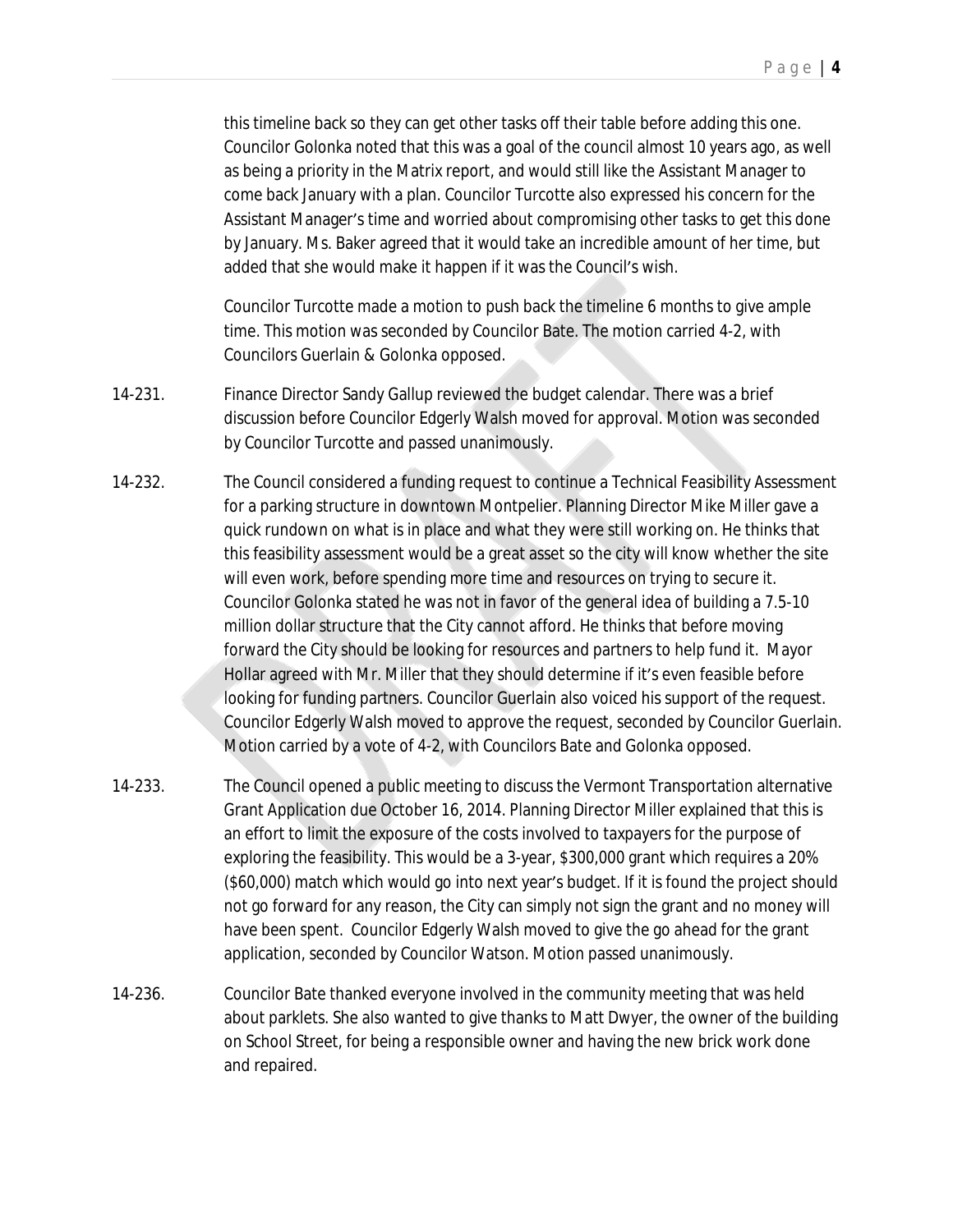this timeline back so they can get other tasks off their table before adding this one. Councilor Golonka noted that this was a goal of the council almost 10 years ago, as well as being a priority in the Matrix report, and would still like the Assistant Manager to come back January with a plan. Councilor Turcotte also expressed his concern for the Assistant Manager's time and worried about compromising other tasks to get this done by January. Ms. Baker agreed that it would take an incredible amount of her time, but added that she would make it happen if it was the Council's wish.

Councilor Turcotte made a motion to push back the timeline 6 months to give ample time. This motion was seconded by Councilor Bate. The motion carried 4-2, with Councilors Guerlain & Golonka opposed.

- 14-231. Finance Director Sandy Gallup reviewed the budget calendar. There was a brief discussion before Councilor Edgerly Walsh moved for approval. Motion was seconded by Councilor Turcotte and passed unanimously.
- 14-232. The Council considered a funding request to continue a Technical Feasibility Assessment for a parking structure in downtown Montpelier. Planning Director Mike Miller gave a quick rundown on what is in place and what they were still working on. He thinks that this feasibility assessment would be a great asset so the city will know whether the site will even work, before spending more time and resources on trying to secure it. Councilor Golonka stated he was not in favor of the general idea of building a 7.5-10 million dollar structure that the City cannot afford. He thinks that before moving forward the City should be looking for resources and partners to help fund it. Mayor Hollar agreed with Mr. Miller that they should determine if it's even feasible before looking for funding partners. Councilor Guerlain also voiced his support of the request. Councilor Edgerly Walsh moved to approve the request, seconded by Councilor Guerlain. Motion carried by a vote of 4-2, with Councilors Bate and Golonka opposed.
- 14-233. The Council opened a public meeting to discuss the Vermont Transportation alternative Grant Application due October 16, 2014. Planning Director Miller explained that this is an effort to limit the exposure of the costs involved to taxpayers for the purpose of exploring the feasibility. This would be a 3-year, \$300,000 grant which requires a 20% (\$60,000) match which would go into next year's budget. If it is found the project should not go forward for any reason, the City can simply not sign the grant and no money will have been spent. Councilor Edgerly Walsh moved to give the go ahead for the grant application, seconded by Councilor Watson. Motion passed unanimously.
- 14-236. Councilor Bate thanked everyone involved in the community meeting that was held about parklets. She also wanted to give thanks to Matt Dwyer, the owner of the building on School Street, for being a responsible owner and having the new brick work done and repaired.